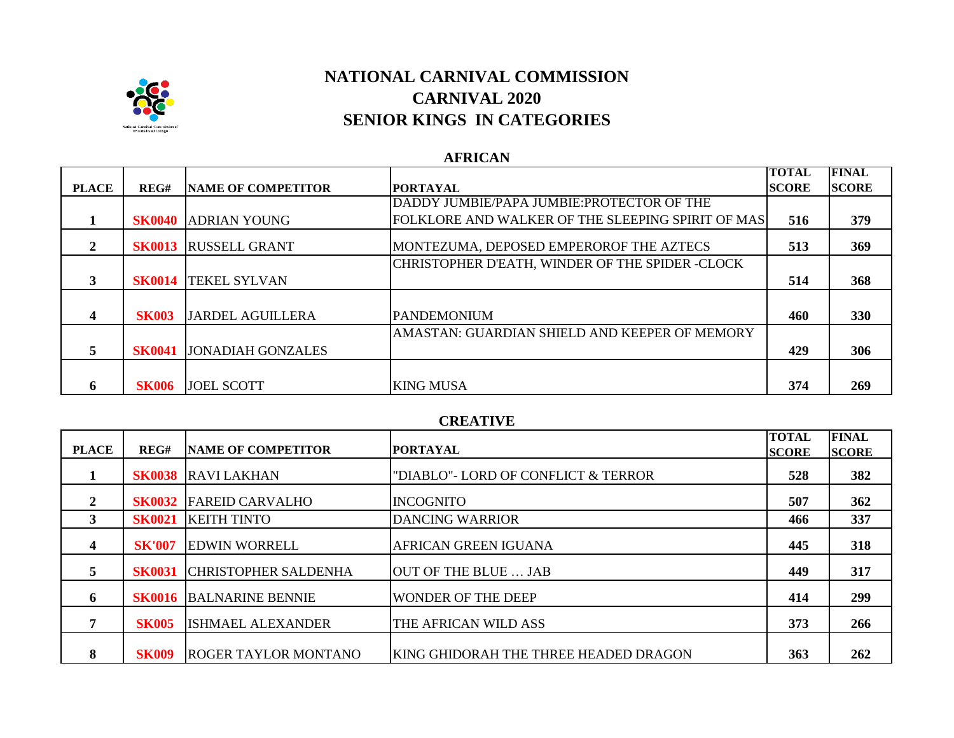

# **NATIONAL CARNIVAL COMMISSION CARNIVAL 2020 SENIOR KINGS IN CATEGORIES**

## **AFRICAN**

|                         |               |                             |                                                   | <b>TOTAL</b>  | <b>FINAL</b> |
|-------------------------|---------------|-----------------------------|---------------------------------------------------|---------------|--------------|
| <b>PLACE</b>            | REG#          | <b>INAME OF COMPETITOR</b>  | <b>PORTAYAL</b>                                   | <b>ISCORE</b> | <b>SCORE</b> |
|                         |               |                             | DADDY JUMBIE/PAPA JUMBIE: PROTECTOR OF THE        |               |              |
|                         |               | <b>SK0040 ADRIAN YOUNG</b>  | FOLKLORE AND WALKER OF THE SLEEPING SPIRIT OF MAS | 516           | 379          |
| 2                       |               | <b>SK0013 RUSSELL GRANT</b> | MONTEZUMA, DEPOSED EMPEROROF THE AZTECS           | 513           | 369          |
|                         |               |                             | CHRISTOPHER D'EATH, WINDER OF THE SPIDER -CLOCK   |               |              |
| 3                       |               | <b>SK0014 ITEKEL SYLVAN</b> |                                                   | 514           | 368          |
| $\overline{\mathbf{4}}$ | <b>SK003</b>  | <b>JARDEL AGUILLERA</b>     | <b>IPANDEMONIUM</b>                               | 460           | 330          |
|                         |               |                             | AMASTAN: GUARDIAN SHIELD AND KEEPER OF MEMORY     |               |              |
| 5.                      | <b>SK0041</b> | <b>JONADIAH GONZALES</b>    |                                                   | 429           | 306          |
| 6                       | <b>SK006</b>  | <b>JOEL SCOTT</b>           | <b>KING MUSA</b>                                  | 374           | 269          |

### **CREATIVE**

| <b>PLACE</b>            | REG#          | <b>NAME OF COMPETITOR</b>   | <b>PORTAYAL</b>                       | <b>TOTAL</b><br><b>ISCORE</b> | <b>FINAL</b><br><b>SCORE</b> |
|-------------------------|---------------|-----------------------------|---------------------------------------|-------------------------------|------------------------------|
|                         | <b>SK0038</b> | <b>RAVILAKHAN</b>           | "DIABLO"- LORD OF CONFLICT & TERROR   | 528                           | 382                          |
| $\mathbf{2}$            | <b>SK0032</b> | <b>FAREID CARVALHO</b>      | <b>INCOGNITO</b>                      | 507                           | 362                          |
| 3                       | <b>SK0021</b> | <b>KEITH TINTO</b>          | <b>DANCING WARRIOR</b>                | 466                           | 337                          |
| $\overline{\mathbf{4}}$ | <b>SK'007</b> | <b>EDWIN WORRELL</b>        | AFRICAN GREEN IGUANA                  | 445                           | 318                          |
| 5                       | <b>SK0031</b> | <b>CHRISTOPHER SALDENHA</b> | OUT OF THE BLUE  JAB                  | 449                           | 317                          |
| 6                       | <b>SK0016</b> | <b>BALNARINE BENNIE</b>     | <b>WONDER OF THE DEEP</b>             | 414                           | 299                          |
| $\overline{7}$          | <b>SK005</b>  | <b>ISHMAEL ALEXANDER</b>    | THE AFRICAN WILD ASS                  | 373                           | 266                          |
| 8                       | <b>SK009</b>  | <b>ROGER TAYLOR MONTANO</b> | KING GHIDORAH THE THREE HEADED DRAGON | 363                           | 262                          |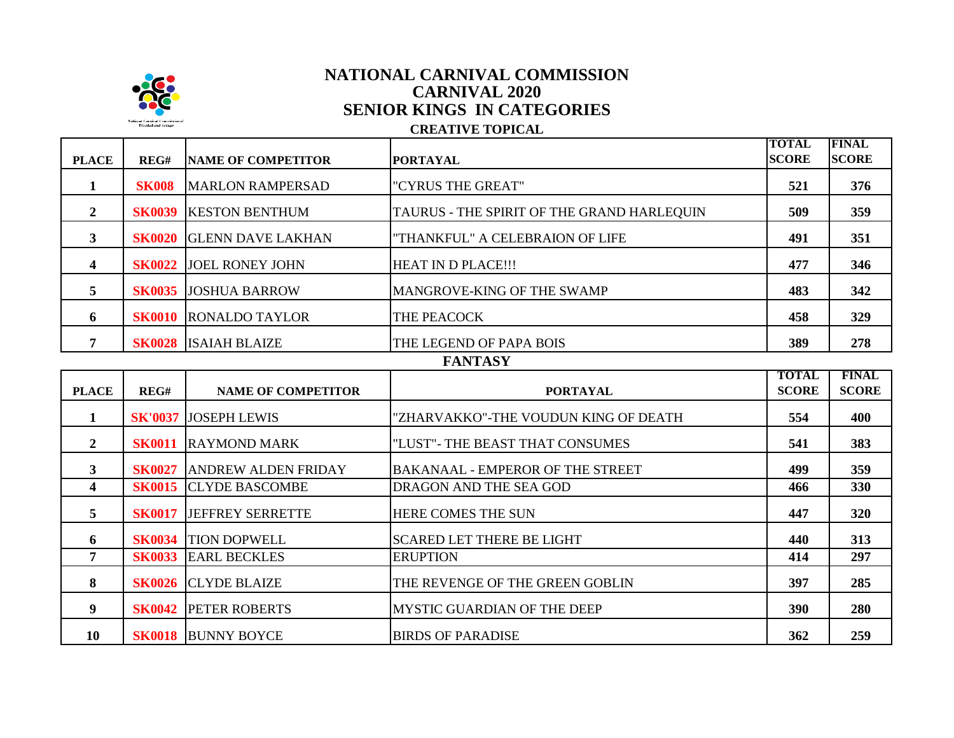

## **CARNIVAL 2020 SENIOR KINGS IN CATEGORIES CREATIVE TOPICAL NATIONAL CARNIVAL COMMISSION**

| <b>PLACE</b>   | REG#          | <b>NAME OF COMPETITOR</b>   | <b>PORTAYAL</b>                            | <b>TOTAL</b><br><b>SCORE</b> | <b>FINAL</b><br><b>SCORE</b> |
|----------------|---------------|-----------------------------|--------------------------------------------|------------------------------|------------------------------|
| 1              | <b>SK008</b>  | <b>MARLON RAMPERSAD</b>     | "CYRUS THE GREAT"                          | 521                          | 376                          |
| $\mathbf{2}$   | <b>SK0039</b> | <b>KESTON BENTHUM</b>       | TAURUS - THE SPIRIT OF THE GRAND HARLEQUIN | 509                          | 359                          |
| $\mathbf{3}$   | <b>SK0020</b> | <b>GLENN DAVE LAKHAN</b>    | "THANKFUL" A CELEBRAION OF LIFE            | 491                          | 351                          |
| 4              | <b>SK0022</b> | <b>JOEL RONEY JOHN</b>      | <b>HEAT IN D PLACE!!!</b>                  | 477                          | 346                          |
| 5              | <b>SK0035</b> | <b>JOSHUA BARROW</b>        | MANGROVE-KING OF THE SWAMP                 | 483                          | 342                          |
| 6              | <b>SK0010</b> | <b>RONALDO TAYLOR</b>       | THE PEACOCK                                | 458                          | 329                          |
| 7              |               | <b>SK0028 ISAIAH BLAIZE</b> | THE LEGEND OF PAPA BOIS                    | 389                          | 278                          |
|                |               |                             | <b>FANTASY</b>                             |                              |                              |
| <b>PLACE</b>   | REG#          | <b>NAME OF COMPETITOR</b>   | <b>PORTAYAL</b>                            | <b>TOTAL</b><br><b>SCORE</b> | <b>FINAL</b><br><b>SCORE</b> |
| 1              |               | <b>SK'0037 JOSEPH LEWIS</b> | "ZHARVAKKO"-THE VOUDUN KING OF DEATH       | 554                          | 400                          |
| $\overline{2}$ | <b>SK0011</b> | <b>RAYMOND MARK</b>         | "LUST"- THE BEAST THAT CONSUMES            | 541                          | 383                          |
| $\mathbf{3}$   | <b>SK0027</b> | <b>ANDREW ALDEN FRIDAY</b>  | <b>BAKANAAL - EMPEROR OF THE STREET</b>    | 499                          | 359                          |

|    | <b>SK0027</b> | <b>ANDREW ALDEN FRIDAY</b>   | <b>BAKANAAL - EMPEROR OF THE STREET</b> | 499 | 359 |
|----|---------------|------------------------------|-----------------------------------------|-----|-----|
|    |               | <b>SK0015 CLYDE BASCOMBE</b> | DRAGON AND THE SEA GOD                  | 466 | 330 |
| 5  | <b>SK0017</b> | <b>JEFFREY SERRETTE</b>      | HERE COMES THE SUN                      | 447 | 320 |
| -6 | <b>SK0034</b> | <b>TION DOPWELL</b>          | <b>SCARED LET THERE BE LIGHT</b>        | 440 | 313 |
|    | <b>SK0033</b> | <b>EARL BECKLES</b>          | <b>ERUPTION</b>                         | 414 | 297 |
| 8  |               | <b>SK0026 ICLYDE BLAIZE</b>  | THE REVENGE OF THE GREEN GOBLIN         | 397 | 285 |
| 9  |               | <b>SK0042 PETER ROBERTS</b>  | <b>MYSTIC GUARDIAN OF THE DEEP</b>      | 390 | 280 |
| 10 |               | <b>SK0018 BUNNY BOYCE</b>    | <b>BIRDS OF PARADISE</b>                | 362 | 259 |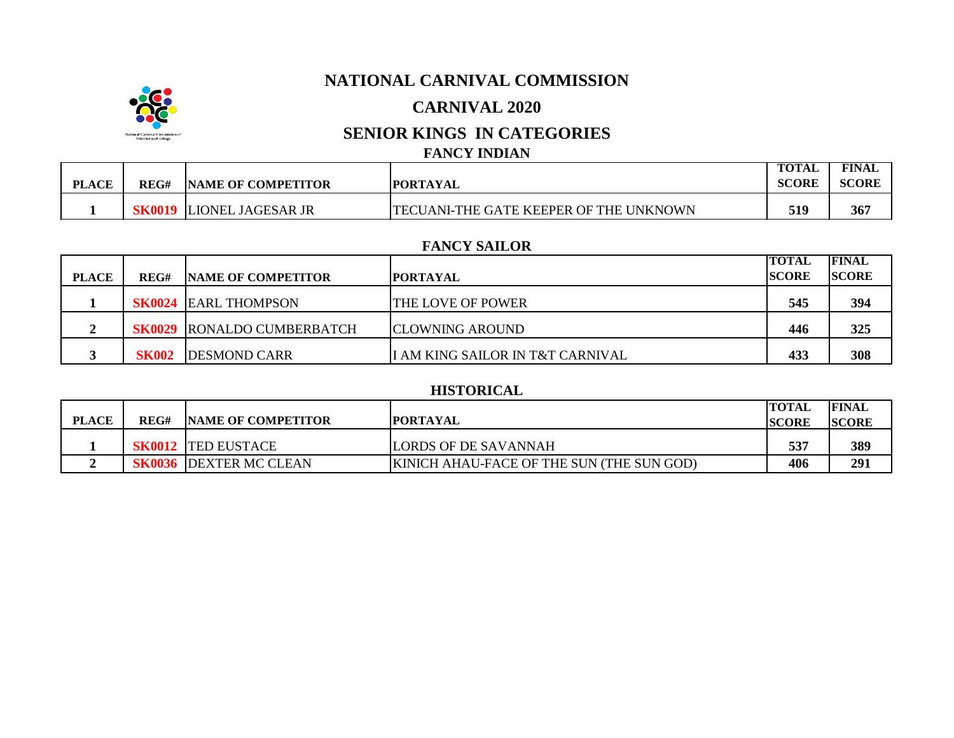## **NATIONAL CARNIVAL COMMISSION**

## **CARNIVAL 2020**

## **SENIOR KINGS IN CATEGORIES**

### **FANCY INDIAN**

|              |      |                           |                                               | <b>TOTAL</b> | <b>FINAL</b> |
|--------------|------|---------------------------|-----------------------------------------------|--------------|--------------|
| <b>PLACE</b> | REG# | <b>NAME OF COMPETITOR</b> | <b>PORTAYAL</b>                               | <b>SCORE</b> | SCORE        |
|              |      | LIONEL JAGESAR JR         | <b>TECUANI-THE GATE KEEPER OF THE UNKNOWN</b> | 519          | 367          |

#### **FANCY SAILOR**

|              |              |                                   |                                  | <b>TOTAL</b>  | <b>FINAL</b> |
|--------------|--------------|-----------------------------------|----------------------------------|---------------|--------------|
| <b>PLACE</b> | REG#         | <b>INAME OF COMPETITOR</b>        | <b>IPORTAYAL</b>                 | <b>ISCORE</b> | <b>SCORE</b> |
|              |              | <b>SK0024 EARL THOMPSON</b>       | THE LOVE OF POWER                | 545           | 394          |
|              |              | <b>SK0029 RONALDO CUMBERBATCH</b> | <b>ICLOWNING AROUND</b>          | 446           | 325          |
|              | <b>SK002</b> | <b>DESMOND CARR</b>               | I AM KING SAILOR IN T&T CARNIVAL | 433           | 308          |

#### **HISTORICAL**

| <b>PLACE</b> | REG# | <b>INAME OF COMPETITOR</b>    | <b>IPORTAYAL</b>                                 | <b>ITOTAL</b><br><b>ISCORE</b> | <b>FINAL</b><br><b>SCORE</b> |
|--------------|------|-------------------------------|--------------------------------------------------|--------------------------------|------------------------------|
|              |      | <b>SK0012  TED EUSTACE</b>    | LORDS OF DE SAVANNAH                             | 537                            | 389                          |
|              |      | <b>SK0036 DEXTER MC CLEAN</b> | <b>KINICH AHAU-FACE OF THE SUN (THE SUN GOD)</b> | 406                            | 291                          |